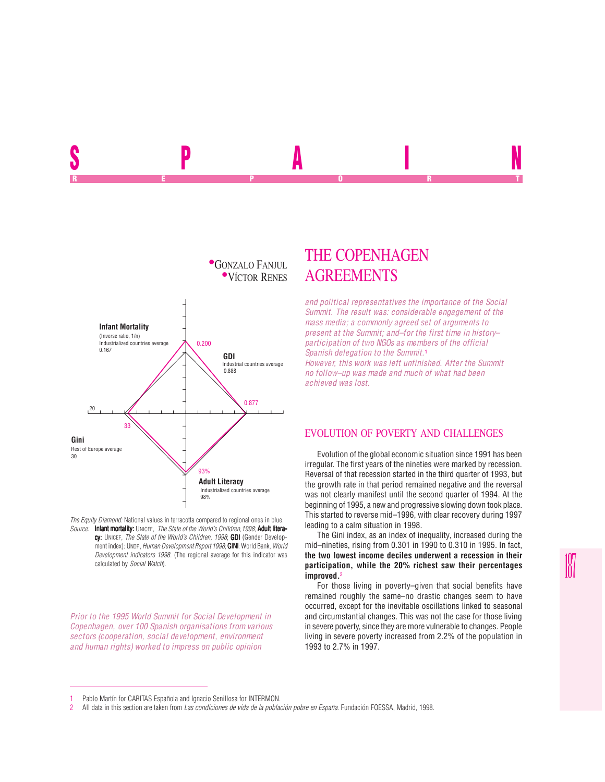

*The Equity Diamond:* National values in terracotta compared to regional ones in blue. *Source:* Infant mortality: UNICEF, *The State of the World's Children,1998*; Adult literacy: UNICEF, *The State of the World's Children, 1998*; **GDI** (Gender Development index): UNDP, *Human Development Report 1998*; **GINI:** World Bank, *World Development indicators 1998*. (The regional average for this indicator was calculated by *Social Watch*).

*Prior to the 1995 World Summit for Social Development in Copenhagen, over 100 Spanish organisations from various sectors (cooperation, social development, environment and human rights) worked to impress on public opinion*

## THE COPENHAGEN **AGREEMENTS**

SPAIN SPAIN SPAIN SPAIN SPAIN SPAIN SPAIN SPAIN SPAIN SPAIN SPAIN SPAIN SPAIN SPAIN REPORT OF STATE REPORT OF STATE REPORT OF STATE REPORT OF STATE REPORT OF STATE REPORT OF STATE REPORT OF STATE REPORT OF STATE REPORT OF STATE REPORT OF STATE REPORT OF STATE REPORT OF STATE REPORT OF STATE REPORT OF STAT

> *and political representatives the importance of the Social Summit. The result was: considerable engagement of the mass media; a commonly agreed set of arguments to present at the Summit; and–for the first time in history– participation of two NGOs as members of the official Spanish delegation to the Summit.*<sup>1</sup>

*However, this work was left unfinished. After the Summit no follow–up was made and much of what had been achieved was lost.*

## EVOLUTION OF POVERTY AND CHALLENGES

Evolution of the global economic situation since 1991 has been irregular. The first years of the nineties were marked by recession. Reversal of that recession started in the third quarter of 1993, but the growth rate in that period remained negative and the reversal was not clearly manifest until the second quarter of 1994. At the beginning of 1995, a new and progressive slowing down took place. This started to reverse mid–1996, with clear recovery during 1997 leading to a calm situation in 1998.

The Gini index, as an index of inequality, increased during the mid–nineties, rising from 0.301 in 1990 to 0.310 in 1995. In fact, **the two lowest income deciles underwent a recession in their participation, while the 20% richest saw their percentages improved.**<sup>2</sup>

For those living in poverty–given that social benefits have remained roughly the same–no drastic changes seem to have occurred, except for the inevitable oscillations linked to seasonal and circumstantial changes. This was not the case for those living in severe poverty, since they are more vulnerable to changes. People living in severe poverty increased from 2.2% of the population in 1993 to 2.7% in 1997.

<sup>1</sup> Pablo Martín for CARITAS Española and Ignacio Senillosa for INTERMON.<br>2 All data in this section are taken from Las condiciones de vida de la pobla

<sup>2</sup> All data in this section are taken from *Las condiciones de vida de la población pobre en España*. Fundación FOESSA, Madrid, 1998.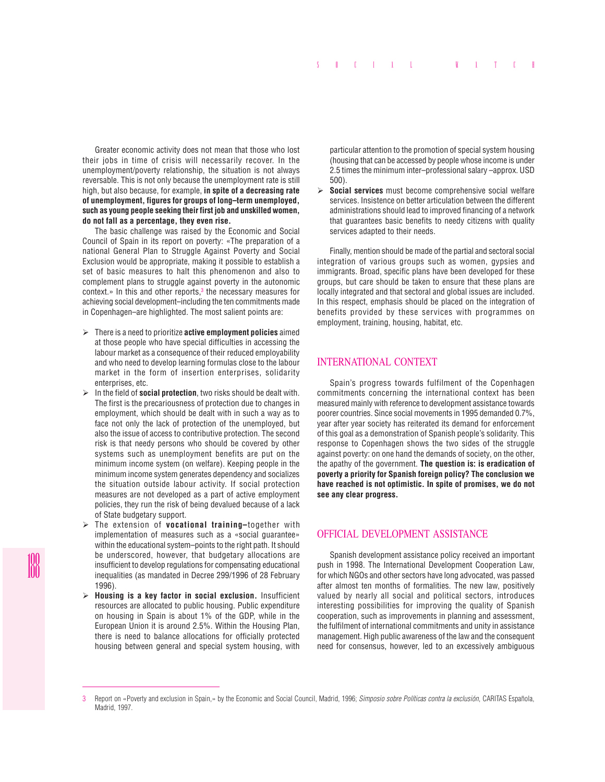Greater economic activity does not mean that those who lost their jobs in time of crisis will necessarily recover. In the unemployment/poverty relationship, the situation is not always reversable. This is not only because the unemployment rate is still high, but also because, for example, **in spite of a decreasing rate of unemployment, figures for groups of long–term unemployed, such as young people seeking their first job and unskilled women, do not fall as a percentage, they even rise.**

The basic challenge was raised by the Economic and Social Council of Spain in its report on poverty: «The preparation of a national General Plan to Struggle Against Poverty and Social Exclusion would be appropriate, making it possible to establish a set of basic measures to halt this phenomenon and also to complement plans to struggle against poverty in the autonomic context.» In this and other reports,<sup>3</sup> the necessary measures for achieving social development–including the ten commitments made in Copenhagen–are highlighted. The most salient points are:

- ¾ There is a need to prioritize **active employment policies** aimed at those people who have special difficulties in accessing the labour market as a consequence of their reduced employability and who need to develop learning formulas close to the labour market in the form of insertion enterprises, solidarity enterprises, etc.
- $\triangleright$  In the field of **social protection**, two risks should be dealt with. The first is the precariousness of protection due to changes in employment, which should be dealt with in such a way as to face not only the lack of protection of the unemployed, but also the issue of access to contributive protection. The second risk is that needy persons who should be covered by other systems such as unemployment benefits are put on the minimum income system (on welfare). Keeping people in the minimum income system generates dependency and socializes the situation outside labour activity. If social protection measures are not developed as a part of active employment policies, they run the risk of being devalued because of a lack of State budgetary support.
- ¾ The extension of **vocational training–**together with implementation of measures such as a «social guarantee» within the educational system–points to the right path. It should be underscored, however, that budgetary allocations are insufficient to develop regulations for compensating educational inequalities (as mandated in Decree 299/1996 of 28 February 1996).
- ¾ **Housing is a key factor in social exclusion.** Insufficient resources are allocated to public housing. Public expenditure on housing in Spain is about 1% of the GDP, while in the European Union it is around 2.5%. Within the Housing Plan, there is need to balance allocations for officially protected housing between general and special system housing, with

particular attention to the promotion of special system housing (housing that can be accessed by people whose income is under 2.5 times the minimum inter–professional salary –approx. USD 500).

¾ **Social services** must become comprehensive social welfare services. Insistence on better articulation between the different administrations should lead to improved financing of a network that guarantees basic benefits to needy citizens with quality services adapted to their needs.

Finally, mention should be made of the partial and sectoral social integration of various groups such as women, gypsies and immigrants. Broad, specific plans have been developed for these groups, but care should be taken to ensure that these plans are locally integrated and that sectoral and global issues are included. In this respect, emphasis should be placed on the integration of benefits provided by these services with programmes on employment, training, housing, habitat, etc.

## INTERNATIONAL CONTEXT

Spain's progress towards fulfilment of the Copenhagen commitments concerning the international context has been measured mainly with reference to development assistance towards poorer countries. Since social movements in 1995 demanded 0.7%, year after year society has reiterated its demand for enforcement of this goal as a demonstration of Spanish people's solidarity. This response to Copenhagen shows the two sides of the struggle against poverty: on one hand the demands of society, on the other, the apathy of the government. **The question is: is eradication of poverty a priority for Spanish foreign policy? The conclusion we have reached is not optimistic. In spite of promises, we do not see any clear progress.**

## OFFICIAL DEVELOPMENT ASSISTANCE

Spanish development assistance policy received an important push in 1998. The International Development Cooperation Law, for which NGOs and other sectors have long advocated, was passed after almost ten months of formalities. The new law, positively valued by nearly all social and political sectors, introduces interesting possibilities for improving the quality of Spanish cooperation, such as improvements in planning and assessment, the fulfilment of international commitments and unity in assistance management. High public awareness of the law and the consequent need for consensus, however, led to an excessively ambiguous

<sup>3</sup> Report on «Poverty and exclusion in Spain,» by the Economic and Social Council, Madrid, 1996; *Simposio sobre Políticas contra la exclusión*, CARITAS Española, Madrid, 1997.